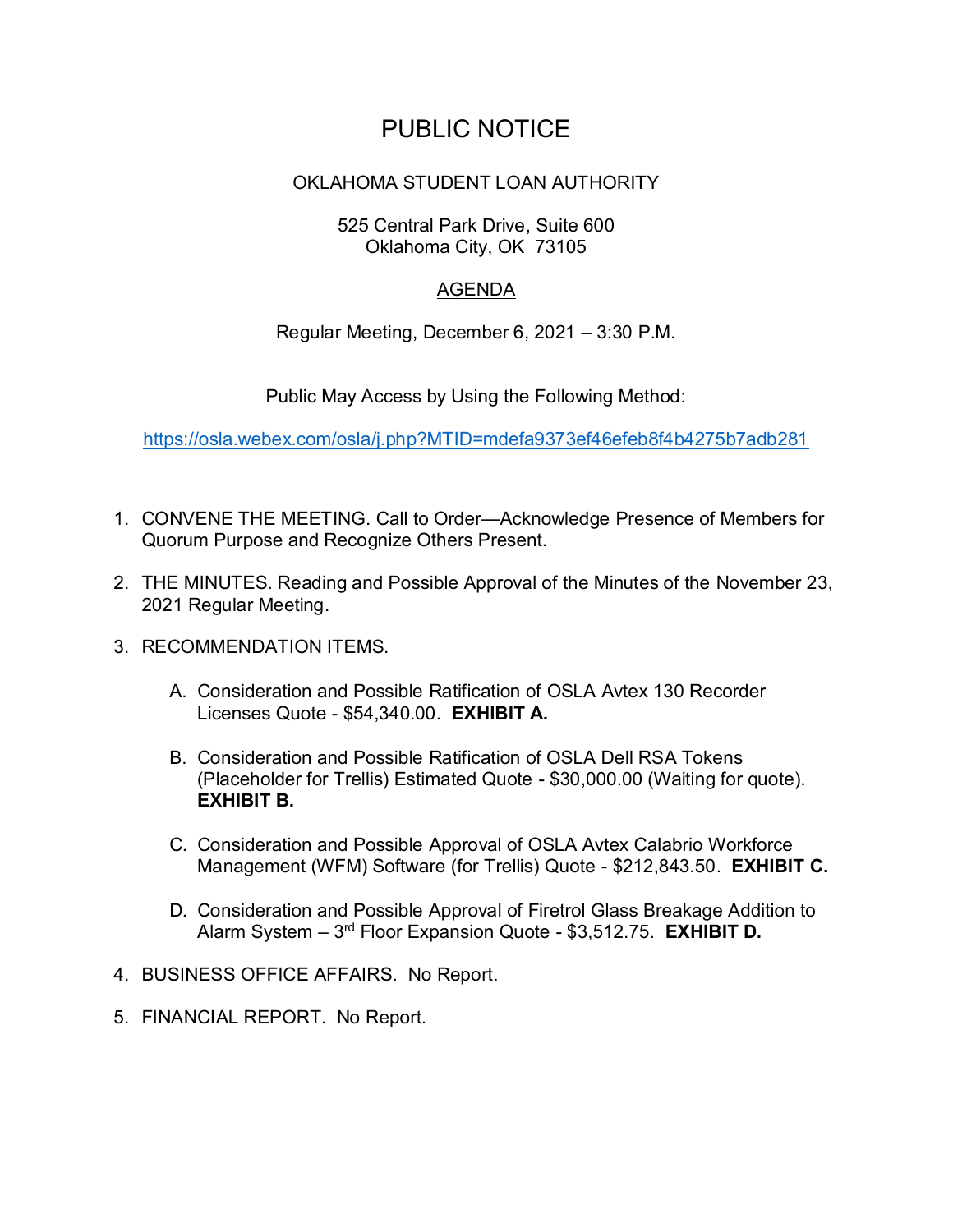## PUBLIC NOTICE

## OKLAHOMA STUDENT LOAN AUTHORITY

525 Central Park Drive, Suite 600 Oklahoma City, OK 73105

## AGENDA

Regular Meeting, December 6, 2021 – 3:30 P.M.

Public May Access by Using the Following Method:

https://osla.webex.com/osla/j.php?MTID=mdefa9373ef46efeb8f4b4275b7adb281

- 1. CONVENE THE MEETING. Call to Order—Acknowledge Presence of Members for Quorum Purpose and Recognize Others Present.
- 2. THE MINUTES. Reading and Possible Approval of the Minutes of the November 23, 2021 Regular Meeting.
- 3. RECOMMENDATION ITEMS.
	- A. Consideration and Possible Ratification of OSLA Avtex 130 Recorder Licenses Quote - \$54,340.00. EXHIBIT A.
	- B. Consideration and Possible Ratification of OSLA Dell RSA Tokens (Placeholder for Trellis) Estimated Quote - \$30,000.00 (Waiting for quote). EXHIBIT B.<br>C. Consideration and Possible Approval of OSLA Avtex Calabrio Workforce
	- Management (WFM) Software (for Trellis) Quote \$212,843.50. EXHIBIT C.
	- D. Consideration and Possible Approval of Firetrol Glass Breakage Addition to Alarm System - 3<sup>rd</sup> Floor Expansion Quote - \$3,512.75. **EXHIBIT D.**
- 4. BUSINESS OFFICE AFFAIRS. No Report.
- 5. FINANCIAL REPORT. No Report.